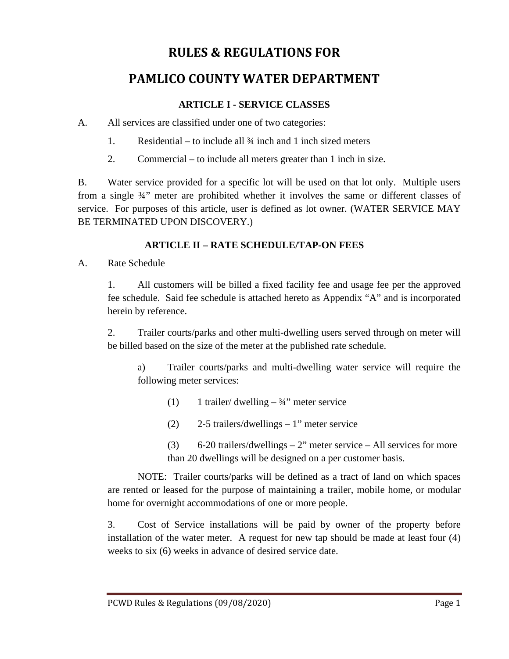# **RULES & REGULATIONS FOR**

# **PAMLICO COUNTY WATER DEPARTMENT**

### **ARTICLE I - SERVICE CLASSES**

A. All services are classified under one of two categories:

- 1. Residential to include all ¾ inch and 1 inch sized meters
- 2. Commercial to include all meters greater than 1 inch in size.

B. Water service provided for a specific lot will be used on that lot only. Multiple users from a single ¾" meter are prohibited whether it involves the same or different classes of service. For purposes of this article, user is defined as lot owner. (WATER SERVICE MAY BE TERMINATED UPON DISCOVERY.)

# **ARTICLE II – RATE SCHEDULE/TAP-ON FEES**

A. Rate Schedule

1. All customers will be billed a fixed facility fee and usage fee per the approved fee schedule. Said fee schedule is attached hereto as Appendix "A" and is incorporated herein by reference.

2. Trailer courts/parks and other multi-dwelling users served through on meter will be billed based on the size of the meter at the published rate schedule.

a) Trailer courts/parks and multi-dwelling water service will require the following meter services:

- (1) 1 trailer/ dwelling  $-3/4$ " meter service
- (2) 2-5 trailers/dwellings 1" meter service
- (3) 6-20 trailers/dwellings 2" meter service All services for more than 20 dwellings will be designed on a per customer basis.

NOTE: Trailer courts/parks will be defined as a tract of land on which spaces are rented or leased for the purpose of maintaining a trailer, mobile home, or modular home for overnight accommodations of one or more people.

3. Cost of Service installations will be paid by owner of the property before installation of the water meter. A request for new tap should be made at least four (4) weeks to six (6) weeks in advance of desired service date.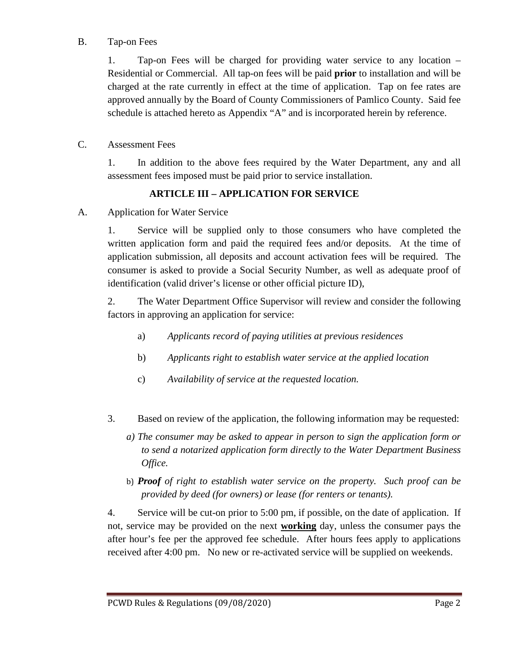### B. Tap-on Fees

1. Tap-on Fees will be charged for providing water service to any location – Residential or Commercial. All tap-on fees will be paid **prior** to installation and will be charged at the rate currently in effect at the time of application. Tap on fee rates are approved annually by the Board of County Commissioners of Pamlico County. Said fee schedule is attached hereto as Appendix "A" and is incorporated herein by reference.

#### C. Assessment Fees

1. In addition to the above fees required by the Water Department, any and all assessment fees imposed must be paid prior to service installation.

## **ARTICLE III – APPLICATION FOR SERVICE**

A. Application for Water Service

1. Service will be supplied only to those consumers who have completed the written application form and paid the required fees and/or deposits. At the time of application submission, all deposits and account activation fees will be required. The consumer is asked to provide a Social Security Number, as well as adequate proof of identification (valid driver's license or other official picture ID),

2. The Water Department Office Supervisor will review and consider the following factors in approving an application for service:

- a) *Applicants record of paying utilities at previous residences*
- b) *Applicants right to establish water service at the applied location*
- c) *Availability of service at the requested location.*
- 3. Based on review of the application, the following information may be requested:
	- *a) The consumer may be asked to appear in person to sign the application form or to send a notarized application form directly to the Water Department Business Office.*
	- b) *Proof of right to establish water service on the property. Such proof can be provided by deed (for owners) or lease (for renters or tenants).*

4. Service will be cut-on prior to 5:00 pm, if possible, on the date of application. If not, service may be provided on the next **working** day, unless the consumer pays the after hour's fee per the approved fee schedule. After hours fees apply to applications received after 4:00 pm. No new or re-activated service will be supplied on weekends.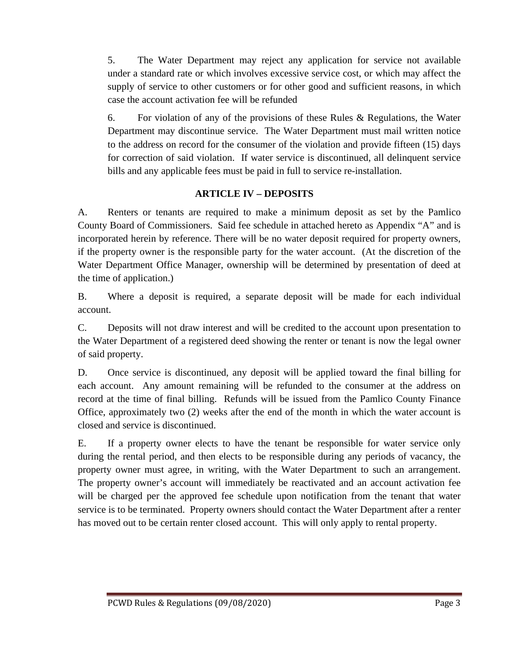5. The Water Department may reject any application for service not available under a standard rate or which involves excessive service cost, or which may affect the supply of service to other customers or for other good and sufficient reasons, in which case the account activation fee will be refunded

6. For violation of any of the provisions of these Rules & Regulations, the Water Department may discontinue service. The Water Department must mail written notice to the address on record for the consumer of the violation and provide fifteen (15) days for correction of said violation. If water service is discontinued, all delinquent service bills and any applicable fees must be paid in full to service re-installation.

#### **ARTICLE IV – DEPOSITS**

A. Renters or tenants are required to make a minimum deposit as set by the Pamlico County Board of Commissioners. Said fee schedule in attached hereto as Appendix "A" and is incorporated herein by reference. There will be no water deposit required for property owners, if the property owner is the responsible party for the water account. (At the discretion of the Water Department Office Manager, ownership will be determined by presentation of deed at the time of application.)

B. Where a deposit is required, a separate deposit will be made for each individual account.

C. Deposits will not draw interest and will be credited to the account upon presentation to the Water Department of a registered deed showing the renter or tenant is now the legal owner of said property.

D. Once service is discontinued, any deposit will be applied toward the final billing for each account. Any amount remaining will be refunded to the consumer at the address on record at the time of final billing. Refunds will be issued from the Pamlico County Finance Office, approximately two (2) weeks after the end of the month in which the water account is closed and service is discontinued.

E. If a property owner elects to have the tenant be responsible for water service only during the rental period, and then elects to be responsible during any periods of vacancy, the property owner must agree, in writing, with the Water Department to such an arrangement. The property owner's account will immediately be reactivated and an account activation fee will be charged per the approved fee schedule upon notification from the tenant that water service is to be terminated. Property owners should contact the Water Department after a renter has moved out to be certain renter closed account. This will only apply to rental property.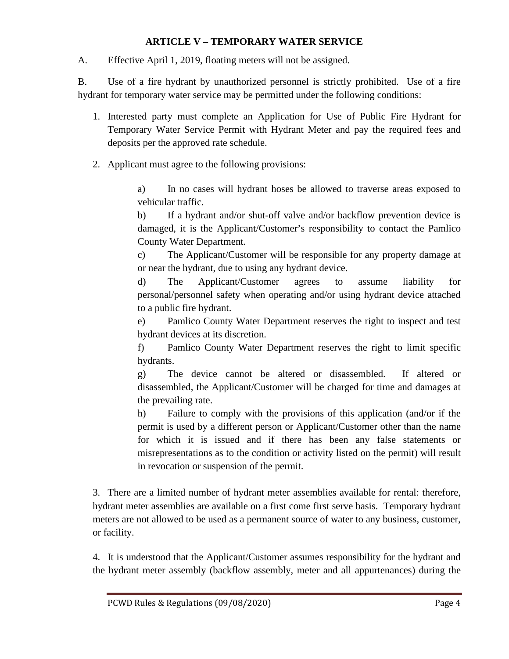#### **ARTICLE V – TEMPORARY WATER SERVICE**

A. Effective April 1, 2019, floating meters will not be assigned.

B. Use of a fire hydrant by unauthorized personnel is strictly prohibited. Use of a fire hydrant for temporary water service may be permitted under the following conditions:

- 1. Interested party must complete an Application for Use of Public Fire Hydrant for Temporary Water Service Permit with Hydrant Meter and pay the required fees and deposits per the approved rate schedule.
- 2. Applicant must agree to the following provisions:

a) In no cases will hydrant hoses be allowed to traverse areas exposed to vehicular traffic.

b) If a hydrant and/or shut-off valve and/or backflow prevention device is damaged, it is the Applicant/Customer's responsibility to contact the Pamlico County Water Department.

c) The Applicant/Customer will be responsible for any property damage at or near the hydrant, due to using any hydrant device.

d) The Applicant/Customer agrees to assume liability for personal/personnel safety when operating and/or using hydrant device attached to a public fire hydrant.

e) Pamlico County Water Department reserves the right to inspect and test hydrant devices at its discretion.

f) Pamlico County Water Department reserves the right to limit specific hydrants.

g) The device cannot be altered or disassembled. If altered or disassembled, the Applicant/Customer will be charged for time and damages at the prevailing rate.

h) Failure to comply with the provisions of this application (and/or if the permit is used by a different person or Applicant/Customer other than the name for which it is issued and if there has been any false statements or misrepresentations as to the condition or activity listed on the permit) will result in revocation or suspension of the permit.

3. There are a limited number of hydrant meter assemblies available for rental: therefore, hydrant meter assemblies are available on a first come first serve basis. Temporary hydrant meters are not allowed to be used as a permanent source of water to any business, customer, or facility.

4. It is understood that the Applicant/Customer assumes responsibility for the hydrant and the hydrant meter assembly (backflow assembly, meter and all appurtenances) during the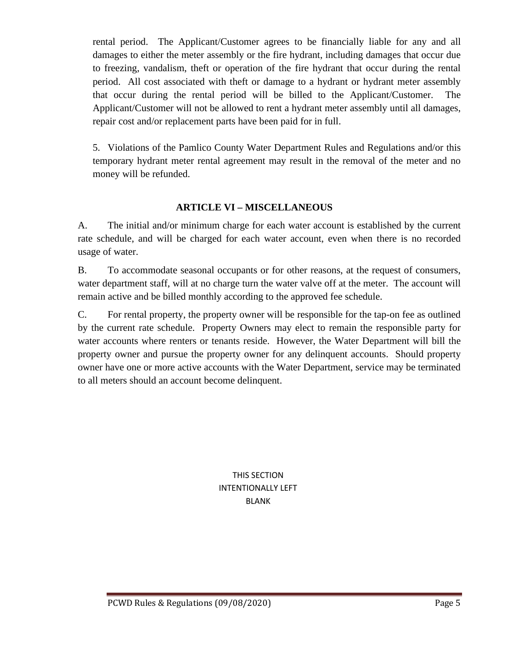rental period. The Applicant/Customer agrees to be financially liable for any and all damages to either the meter assembly or the fire hydrant, including damages that occur due to freezing, vandalism, theft or operation of the fire hydrant that occur during the rental period. All cost associated with theft or damage to a hydrant or hydrant meter assembly that occur during the rental period will be billed to the Applicant/Customer. The Applicant/Customer will not be allowed to rent a hydrant meter assembly until all damages, repair cost and/or replacement parts have been paid for in full.

5. Violations of the Pamlico County Water Department Rules and Regulations and/or this temporary hydrant meter rental agreement may result in the removal of the meter and no money will be refunded.

## **ARTICLE VI – MISCELLANEOUS**

A. The initial and/or minimum charge for each water account is established by the current rate schedule, and will be charged for each water account, even when there is no recorded usage of water.

B. To accommodate seasonal occupants or for other reasons, at the request of consumers, water department staff, will at no charge turn the water valve off at the meter. The account will remain active and be billed monthly according to the approved fee schedule.

C. For rental property, the property owner will be responsible for the tap-on fee as outlined by the current rate schedule. Property Owners may elect to remain the responsible party for water accounts where renters or tenants reside. However, the Water Department will bill the property owner and pursue the property owner for any delinquent accounts. Should property owner have one or more active accounts with the Water Department, service may be terminated to all meters should an account become delinquent.

> THIS SECTION INTENTIONALLY LEFT BLANK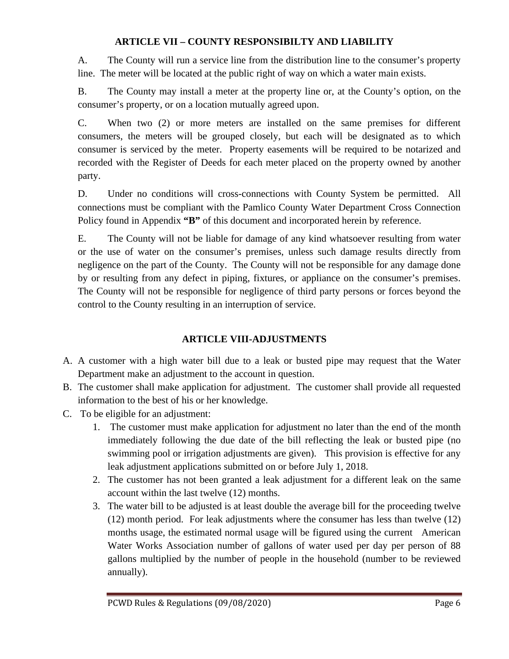## **ARTICLE VII – COUNTY RESPONSIBILTY AND LIABILITY**

A. The County will run a service line from the distribution line to the consumer's property line. The meter will be located at the public right of way on which a water main exists.

B. The County may install a meter at the property line or, at the County's option, on the consumer's property, or on a location mutually agreed upon.

C. When two (2) or more meters are installed on the same premises for different consumers, the meters will be grouped closely, but each will be designated as to which consumer is serviced by the meter. Property easements will be required to be notarized and recorded with the Register of Deeds for each meter placed on the property owned by another party.

D. Under no conditions will cross-connections with County System be permitted. All connections must be compliant with the Pamlico County Water Department Cross Connection Policy found in Appendix **"B"** of this document and incorporated herein by reference.

E. The County will not be liable for damage of any kind whatsoever resulting from water or the use of water on the consumer's premises, unless such damage results directly from negligence on the part of the County. The County will not be responsible for any damage done by or resulting from any defect in piping, fixtures, or appliance on the consumer's premises. The County will not be responsible for negligence of third party persons or forces beyond the control to the County resulting in an interruption of service.

# **ARTICLE VIII-ADJUSTMENTS**

- A. A customer with a high water bill due to a leak or busted pipe may request that the Water Department make an adjustment to the account in question.
- B. The customer shall make application for adjustment. The customer shall provide all requested information to the best of his or her knowledge.
- C. To be eligible for an adjustment:
	- 1. The customer must make application for adjustment no later than the end of the month immediately following the due date of the bill reflecting the leak or busted pipe (no swimming pool or irrigation adjustments are given). This provision is effective for any leak adjustment applications submitted on or before July 1, 2018.
	- 2. The customer has not been granted a leak adjustment for a different leak on the same account within the last twelve (12) months.
	- 3. The water bill to be adjusted is at least double the average bill for the proceeding twelve (12) month period. For leak adjustments where the consumer has less than twelve (12) months usage, the estimated normal usage will be figured using the current American Water Works Association number of gallons of water used per day per person of 88 gallons multiplied by the number of people in the household (number to be reviewed annually).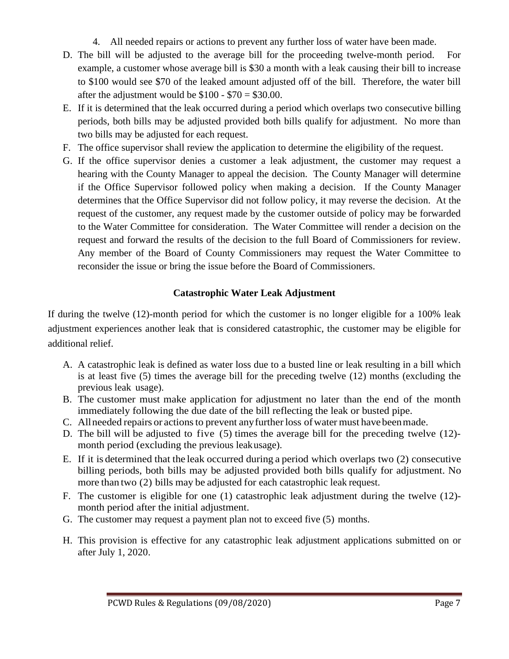- 4. All needed repairs or actions to prevent any further loss of water have been made.
- D. The bill will be adjusted to the average bill for the proceeding twelve-month period. For example, a customer whose average bill is \$30 a month with a leak causing their bill to increase to \$100 would see \$70 of the leaked amount adjusted off of the bill. Therefore, the water bill after the adjustment would be  $$100 - $70 = $30.00$ .
- E. If it is determined that the leak occurred during a period which overlaps two consecutive billing periods, both bills may be adjusted provided both bills qualify for adjustment. No more than two bills may be adjusted for each request.
- F. The office supervisor shall review the application to determine the eligibility of the request.
- G. If the office supervisor denies a customer a leak adjustment, the customer may request a hearing with the County Manager to appeal the decision. The County Manager will determine if the Office Supervisor followed policy when making a decision. If the County Manager determines that the Office Supervisor did not follow policy, it may reverse the decision. At the request of the customer, any request made by the customer outside of policy may be forwarded to the Water Committee for consideration. The Water Committee will render a decision on the request and forward the results of the decision to the full Board of Commissioners for review. Any member of the Board of County Commissioners may request the Water Committee to reconsider the issue or bring the issue before the Board of Commissioners.

# **Catastrophic Water Leak Adjustment**

If during the twelve (12)-month period for which the customer is no longer eligible for a 100% leak adjustment experiences another leak that is considered catastrophic, the customer may be eligible for additional relief.

- A. A catastrophic leak is defined as water loss due to a busted line or leak resulting in a bill which is at least five (5) times the average bill for the preceding twelve (12) months (excluding the previous leak usage).
- B. The customer must make application for adjustment no later than the end of the month immediately following the due date of the bill reflecting the leak or busted pipe.
- C. All needed repairs or actions to prevent any further loss of water must have been made.
- D. The bill will be adjusted to five (5) times the average bill for the preceding twelve (12) month period (excluding the previous leakusage).
- E. If it is determined that the leak occurred during a period which overlaps two (2) consecutive billing periods, both bills may be adjusted provided both bills qualify for adjustment. No more than two (2) bills may be adjusted for each catastrophic leak request.
- F. The customer is eligible for one (1) catastrophic leak adjustment during the twelve (12) month period after the initial adjustment.
- G. The customer may request a payment plan not to exceed five (5) months.
- H. This provision is effective for any catastrophic leak adjustment applications submitted on or after July 1, 2020.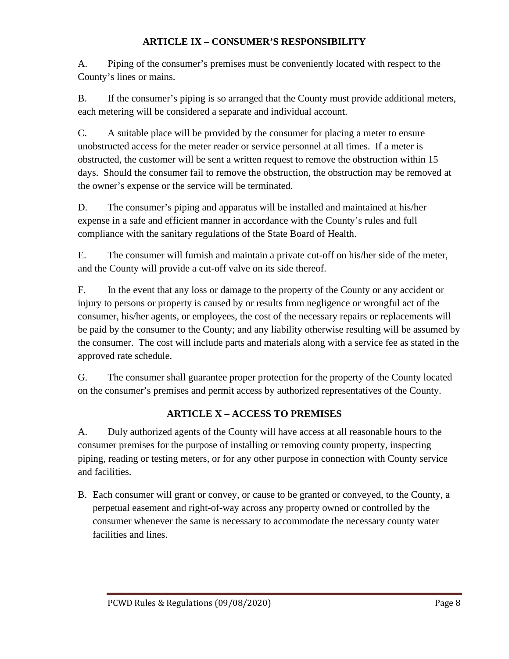## **ARTICLE IX – CONSUMER'S RESPONSIBILITY**

A. Piping of the consumer's premises must be conveniently located with respect to the County's lines or mains.

B. If the consumer's piping is so arranged that the County must provide additional meters, each metering will be considered a separate and individual account.

C. A suitable place will be provided by the consumer for placing a meter to ensure unobstructed access for the meter reader or service personnel at all times. If a meter is obstructed, the customer will be sent a written request to remove the obstruction within 15 days. Should the consumer fail to remove the obstruction, the obstruction may be removed at the owner's expense or the service will be terminated.

D. The consumer's piping and apparatus will be installed and maintained at his/her expense in a safe and efficient manner in accordance with the County's rules and full compliance with the sanitary regulations of the State Board of Health.

E. The consumer will furnish and maintain a private cut-off on his/her side of the meter, and the County will provide a cut-off valve on its side thereof.

F. In the event that any loss or damage to the property of the County or any accident or injury to persons or property is caused by or results from negligence or wrongful act of the consumer, his/her agents, or employees, the cost of the necessary repairs or replacements will be paid by the consumer to the County; and any liability otherwise resulting will be assumed by the consumer. The cost will include parts and materials along with a service fee as stated in the approved rate schedule.

G. The consumer shall guarantee proper protection for the property of the County located on the consumer's premises and permit access by authorized representatives of the County.

## **ARTICLE X – ACCESS TO PREMISES**

A. Duly authorized agents of the County will have access at all reasonable hours to the consumer premises for the purpose of installing or removing county property, inspecting piping, reading or testing meters, or for any other purpose in connection with County service and facilities.

B. Each consumer will grant or convey, or cause to be granted or conveyed, to the County, a perpetual easement and right-of-way across any property owned or controlled by the consumer whenever the same is necessary to accommodate the necessary county water facilities and lines.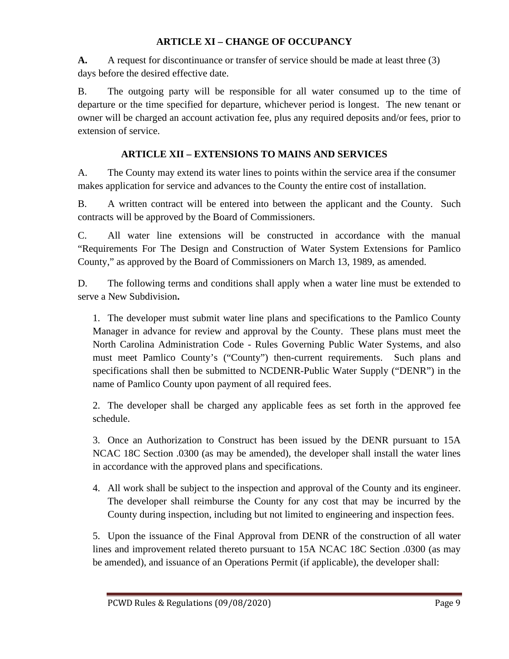## **ARTICLE XI – CHANGE OF OCCUPANCY**

**A.** A request for discontinuance or transfer of service should be made at least three (3) days before the desired effective date.

B. The outgoing party will be responsible for all water consumed up to the time of departure or the time specified for departure, whichever period is longest. The new tenant or owner will be charged an account activation fee, plus any required deposits and/or fees, prior to extension of service.

## **ARTICLE XII – EXTENSIONS TO MAINS AND SERVICES**

A. The County may extend its water lines to points within the service area if the consumer makes application for service and advances to the County the entire cost of installation.

B. A written contract will be entered into between the applicant and the County. Such contracts will be approved by the Board of Commissioners.

C. All water line extensions will be constructed in accordance with the manual "Requirements For The Design and Construction of Water System Extensions for Pamlico County," as approved by the Board of Commissioners on March 13, 1989, as amended.

D. The following terms and conditions shall apply when a water line must be extended to serve a New Subdivision**.**

1. The developer must submit water line plans and specifications to the Pamlico County Manager in advance for review and approval by the County. These plans must meet the North Carolina Administration Code - Rules Governing Public Water Systems, and also must meet Pamlico County's ("County") then-current requirements. Such plans and specifications shall then be submitted to NCDENR-Public Water Supply ("DENR") in the name of Pamlico County upon payment of all required fees.

2. The developer shall be charged any applicable fees as set forth in the approved fee schedule.

3. Once an Authorization to Construct has been issued by the DENR pursuant to 15A NCAC 18C Section .0300 (as may be amended), the developer shall install the water lines in accordance with the approved plans and specifications.

4. All work shall be subject to the inspection and approval of the County and its engineer. The developer shall reimburse the County for any cost that may be incurred by the County during inspection, including but not limited to engineering and inspection fees.

5. Upon the issuance of the Final Approval from DENR of the construction of all water lines and improvement related thereto pursuant to 15A NCAC 18C Section .0300 (as may be amended), and issuance of an Operations Permit (if applicable), the developer shall: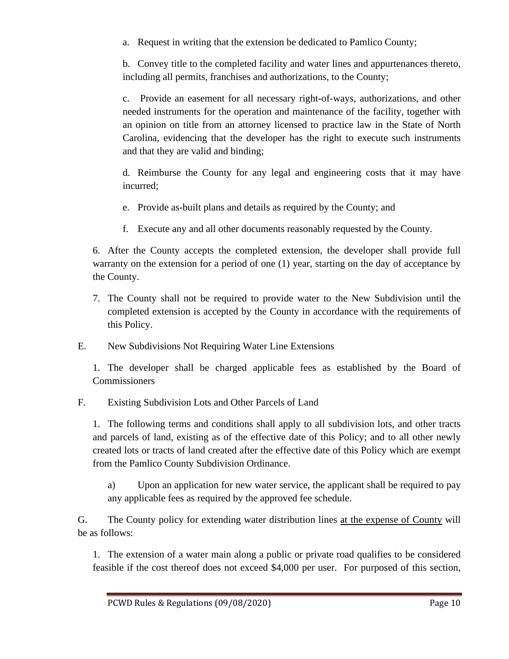a. Request in writing that the extension be dedicated to Pamlico County;

b. Convey title to the completed facility and water lines and appurtenances thereto, including all permits, franchises and authorizations, to the County;

c. Provide an easement for all necessary right-of-ways, authorizations, and other needed instruments for the operation and maintenance of the facility, together with an opinion on title from an attorney licensed to practice law in the State of North Carolina, evidencing that the developer has the right to execute such instruments and that they are valid and binding;

d. Reimburse the County for any legal and engineering costs that it may have incurred;

- e. Provide as-built plans and details as required by the County; and
- f. Execute any and all other documents reasonably requested by the County.

6. After the County accepts the completed extension, the developer shall provide full warranty on the extension for a period of one (1) year, starting on the day of acceptance by the County.

- 7. The County shall not be required to provide water to the New Subdivision until the completed extension is accepted by the County in accordance with the requirements of this Policy.
- E. New Subdivisions Not Requiring Water Line Extensions

1. The developer shall be charged applicable fees as established by the Board of **Commissioners** 

F. Existing Subdivision Lots and Other Parcels of Land

1. The following terms and conditions shall apply to all subdivision lots, and other tracts and parcels of land, existing as of the effective date of this Policy; and to all other newly created lots or tracts of land created after the effective date of this Policy which are exempt from the Pamlico County Subdivision Ordinance.

a) Upon an application for new water service, the applicant shall be required to pay any applicable fees as required by the approved fee schedule.

G. The County policy for extending water distribution lines at the expense of County will be as follows:

1. The extension of a water main along a public or private road qualifies to be considered feasible if the cost thereof does not exceed \$4,000 per user. For purposed of this section,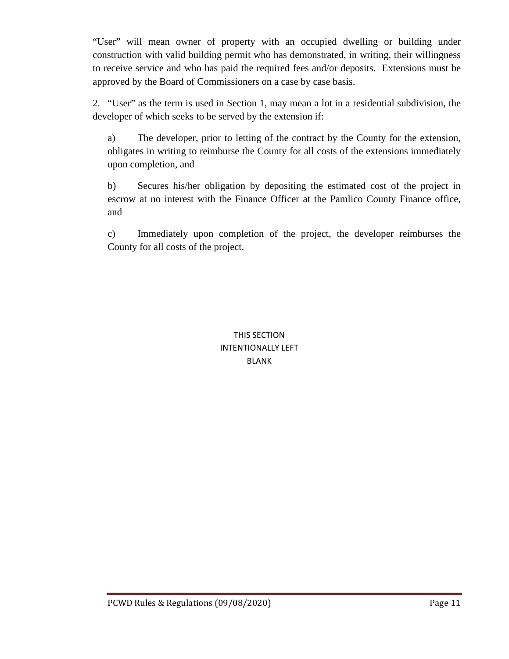"User" will mean owner of property with an occupied dwelling or building under construction with valid building permit who has demonstrated, in writing, their willingness to receive service and who has paid the required fees and/or deposits. Extensions must be approved by the Board of Commissioners on a case by case basis.

2. "User" as the term is used in Section 1, may mean a lot in a residential subdivision, the developer of which seeks to be served by the extension if:

a) The developer, prior to letting of the contract by the County for the extension, obligates in writing to reimburse the County for all costs of the extensions immediately upon completion, and

b) Secures his/her obligation by depositing the estimated cost of the project in escrow at no interest with the Finance Officer at the Pamlico County Finance office, and

c) Immediately upon completion of the project, the developer reimburses the County for all costs of the project.

> THIS SECTION INTENTIONALLY LEFT BLANK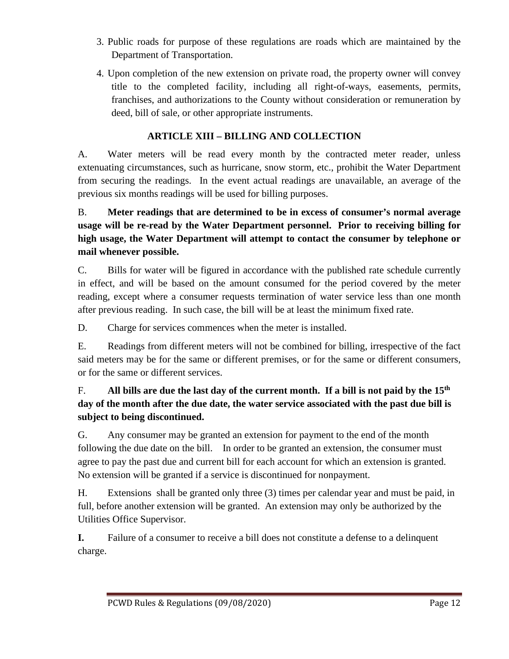- 3. Public roads for purpose of these regulations are roads which are maintained by the Department of Transportation.
- 4. Upon completion of the new extension on private road, the property owner will convey title to the completed facility, including all right-of-ways, easements, permits, franchises, and authorizations to the County without consideration or remuneration by deed, bill of sale, or other appropriate instruments.

# **ARTICLE XIII – BILLING AND COLLECTION**

A. Water meters will be read every month by the contracted meter reader, unless extenuating circumstances, such as hurricane, snow storm, etc., prohibit the Water Department from securing the readings. In the event actual readings are unavailable, an average of the previous six months readings will be used for billing purposes.

B. **Meter readings that are determined to be in excess of consumer's normal average usage will be re-read by the Water Department personnel. Prior to receiving billing for high usage, the Water Department will attempt to contact the consumer by telephone or mail whenever possible.** 

C. Bills for water will be figured in accordance with the published rate schedule currently in effect, and will be based on the amount consumed for the period covered by the meter reading, except where a consumer requests termination of water service less than one month after previous reading. In such case, the bill will be at least the minimum fixed rate.

D. Charge for services commences when the meter is installed.

E. Readings from different meters will not be combined for billing, irrespective of the fact said meters may be for the same or different premises, or for the same or different consumers, or for the same or different services.

# F. **All bills are due the last day of the current month. If a bill is not paid by the 15th day of the month after the due date, the water service associated with the past due bill is subject to being discontinued.**

G. Any consumer may be granted an extension for payment to the end of the month following the due date on the bill. In order to be granted an extension, the consumer must agree to pay the past due and current bill for each account for which an extension is granted. No extension will be granted if a service is discontinued for nonpayment.

H. Extensions shall be granted only three (3) times per calendar year and must be paid, in full, before another extension will be granted. An extension may only be authorized by the Utilities Office Supervisor.

**I.** Failure of a consumer to receive a bill does not constitute a defense to a delinquent charge.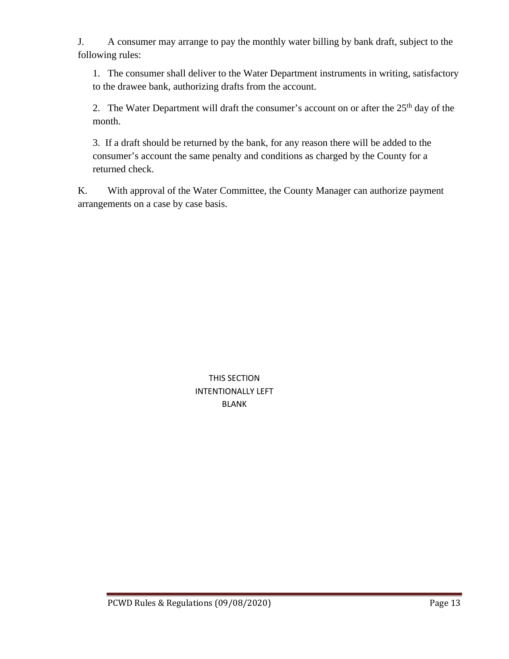J. A consumer may arrange to pay the monthly water billing by bank draft, subject to the following rules:

1. The consumer shall deliver to the Water Department instruments in writing, satisfactory to the drawee bank, authorizing drafts from the account.

2. The Water Department will draft the consumer's account on or after the 25<sup>th</sup> day of the month.

3. If a draft should be returned by the bank, for any reason there will be added to the consumer's account the same penalty and conditions as charged by the County for a returned check.

K. With approval of the Water Committee, the County Manager can authorize payment arrangements on a case by case basis.

> THIS SECTION INTENTIONALLY LEFT BLANK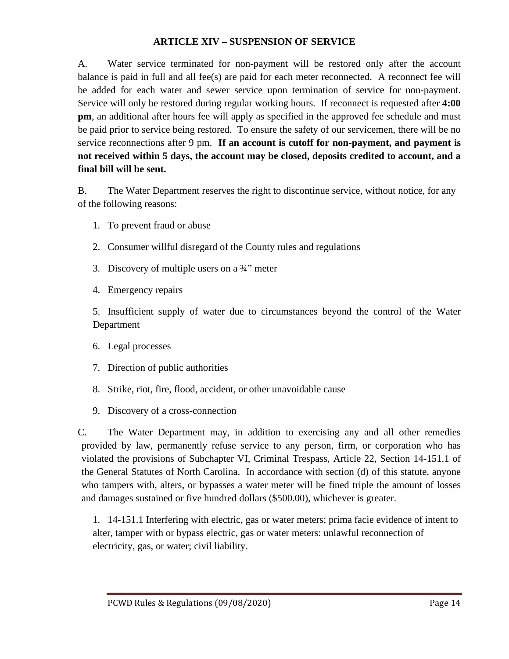#### **ARTICLE XIV – SUSPENSION OF SERVICE**

A. Water service terminated for non-payment will be restored only after the account balance is paid in full and all fee(s) are paid for each meter reconnected. A reconnect fee will be added for each water and sewer service upon termination of service for non-payment. Service will only be restored during regular working hours. If reconnect is requested after **4:00 pm**, an additional after hours fee will apply as specified in the approved fee schedule and must be paid prior to service being restored. To ensure the safety of our servicemen, there will be no service reconnections after 9 pm. **If an account is cutoff for non-payment, and payment is not received within 5 days, the account may be closed, deposits credited to account, and a final bill will be sent.**

B. The Water Department reserves the right to discontinue service, without notice, for any of the following reasons:

- 1. To prevent fraud or abuse
- 2. Consumer willful disregard of the County rules and regulations
- 3. Discovery of multiple users on a  $\frac{3}{4}$ " meter
- 4. Emergency repairs

5. Insufficient supply of water due to circumstances beyond the control of the Water Department

- 6. Legal processes
- 7. Direction of public authorities
- 8. Strike, riot, fire, flood, accident, or other unavoidable cause
- 9. Discovery of a cross-connection

C. The Water Department may, in addition to exercising any and all other remedies provided by law, permanently refuse service to any person, firm, or corporation who has violated the provisions of Subchapter VI, Criminal Trespass, Article 22, Section 14-151.1 of the General Statutes of North Carolina.In accordance with section (d) of this statute, anyone who tampers with, alters, or bypasses a water meter will be fined triple the amount of losses and damages sustained or five hundred dollars (\$500.00), whichever is greater.

1. 14-151.1 Interfering with electric, gas or water meters; prima facie evidence of intent to alter, tamper with or bypass electric, gas or water meters: unlawful reconnection of electricity, gas, or water; civil liability.